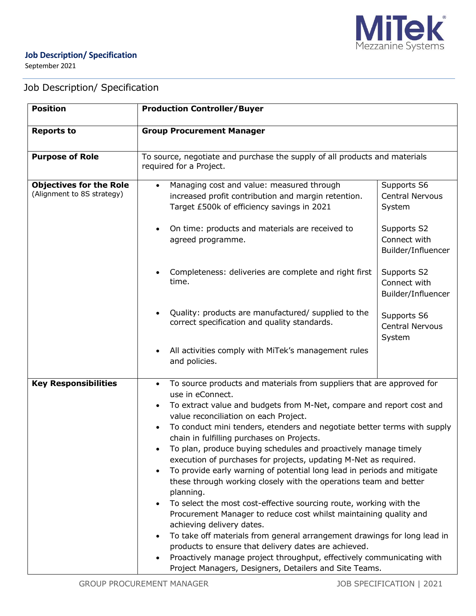

## **Job Description/ Specification**

September 2021

# Job Description/ Specification

| <b>Position</b>                                              | <b>Production Controller/Buyer</b><br><b>Group Procurement Manager</b>                                                                                                                                                                                                                                                                                                                                                                                                                                                                                                                                                                                                                                                                                                                                                                                                                                                                                                                                                                                                                                                         |  |  |
|--------------------------------------------------------------|--------------------------------------------------------------------------------------------------------------------------------------------------------------------------------------------------------------------------------------------------------------------------------------------------------------------------------------------------------------------------------------------------------------------------------------------------------------------------------------------------------------------------------------------------------------------------------------------------------------------------------------------------------------------------------------------------------------------------------------------------------------------------------------------------------------------------------------------------------------------------------------------------------------------------------------------------------------------------------------------------------------------------------------------------------------------------------------------------------------------------------|--|--|
| <b>Reports to</b>                                            |                                                                                                                                                                                                                                                                                                                                                                                                                                                                                                                                                                                                                                                                                                                                                                                                                                                                                                                                                                                                                                                                                                                                |  |  |
| <b>Purpose of Role</b>                                       | To source, negotiate and purchase the supply of all products and materials<br>required for a Project.                                                                                                                                                                                                                                                                                                                                                                                                                                                                                                                                                                                                                                                                                                                                                                                                                                                                                                                                                                                                                          |  |  |
| <b>Objectives for the Role</b><br>(Alignment to 8S strategy) | Supports S6<br>Managing cost and value: measured through<br>$\bullet$<br>increased profit contribution and margin retention.<br><b>Central Nervous</b><br>Target £500k of efficiency savings in 2021<br>System<br>On time: products and materials are received to<br>Supports S2<br>Connect with<br>agreed programme.<br>Builder/Influencer                                                                                                                                                                                                                                                                                                                                                                                                                                                                                                                                                                                                                                                                                                                                                                                    |  |  |
|                                                              | Completeness: deliveries are complete and right first<br>Supports S2<br>time.<br>Connect with<br>Builder/Influencer                                                                                                                                                                                                                                                                                                                                                                                                                                                                                                                                                                                                                                                                                                                                                                                                                                                                                                                                                                                                            |  |  |
|                                                              | Quality: products are manufactured/ supplied to the<br>Supports S6<br>correct specification and quality standards.<br><b>Central Nervous</b><br>System                                                                                                                                                                                                                                                                                                                                                                                                                                                                                                                                                                                                                                                                                                                                                                                                                                                                                                                                                                         |  |  |
|                                                              | All activities comply with MiTek's management rules<br>and policies.                                                                                                                                                                                                                                                                                                                                                                                                                                                                                                                                                                                                                                                                                                                                                                                                                                                                                                                                                                                                                                                           |  |  |
| <b>Key Responsibilities</b>                                  | To source products and materials from suppliers that are approved for<br>$\bullet$<br>use in eConnect.<br>To extract value and budgets from M-Net, compare and report cost and<br>$\bullet$<br>value reconciliation on each Project.<br>To conduct mini tenders, etenders and negotiate better terms with supply<br>chain in fulfilling purchases on Projects.<br>To plan, produce buying schedules and proactively manage timely<br>execution of purchases for projects, updating M-Net as required.<br>To provide early warning of potential long lead in periods and mitigate<br>$\bullet$<br>these through working closely with the operations team and better<br>planning.<br>To select the most cost-effective sourcing route, working with the<br>Procurement Manager to reduce cost whilst maintaining quality and<br>achieving delivery dates.<br>To take off materials from general arrangement drawings for long lead in<br>products to ensure that delivery dates are achieved.<br>Proactively manage project throughput, effectively communicating with<br>Project Managers, Designers, Detailers and Site Teams. |  |  |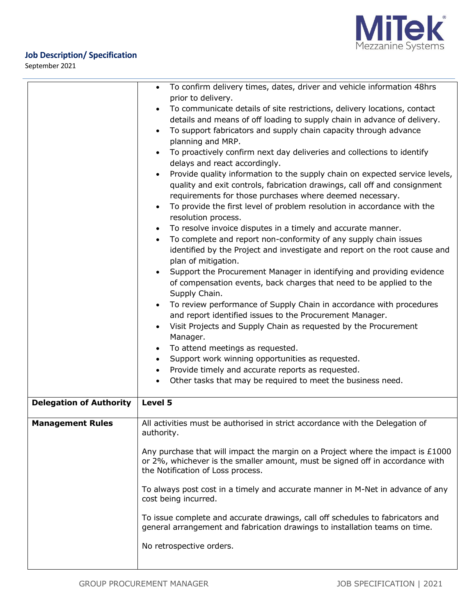



September 2021

|                                | To confirm delivery times, dates, driver and vehicle information 48hrs<br>$\bullet$<br>prior to delivery.<br>To communicate details of site restrictions, delivery locations, contact<br>details and means of off loading to supply chain in advance of delivery.<br>To support fabricators and supply chain capacity through advance<br>$\bullet$<br>planning and MRP.<br>To proactively confirm next day deliveries and collections to identify<br>delays and react accordingly.<br>Provide quality information to the supply chain on expected service levels,<br>$\bullet$<br>quality and exit controls, fabrication drawings, call off and consignment<br>requirements for those purchases where deemed necessary.<br>To provide the first level of problem resolution in accordance with the<br>$\bullet$<br>resolution process. |  |  |
|--------------------------------|----------------------------------------------------------------------------------------------------------------------------------------------------------------------------------------------------------------------------------------------------------------------------------------------------------------------------------------------------------------------------------------------------------------------------------------------------------------------------------------------------------------------------------------------------------------------------------------------------------------------------------------------------------------------------------------------------------------------------------------------------------------------------------------------------------------------------------------|--|--|
|                                | To resolve invoice disputes in a timely and accurate manner.<br>To complete and report non-conformity of any supply chain issues<br>$\bullet$<br>identified by the Project and investigate and report on the root cause and                                                                                                                                                                                                                                                                                                                                                                                                                                                                                                                                                                                                            |  |  |
|                                | plan of mitigation.<br>Support the Procurement Manager in identifying and providing evidence<br>of compensation events, back charges that need to be applied to the<br>Supply Chain.<br>To review performance of Supply Chain in accordance with procedures<br>and report identified issues to the Procurement Manager.<br>Visit Projects and Supply Chain as requested by the Procurement<br>Manager.                                                                                                                                                                                                                                                                                                                                                                                                                                 |  |  |
|                                | To attend meetings as requested.                                                                                                                                                                                                                                                                                                                                                                                                                                                                                                                                                                                                                                                                                                                                                                                                       |  |  |
|                                | Support work winning opportunities as requested.                                                                                                                                                                                                                                                                                                                                                                                                                                                                                                                                                                                                                                                                                                                                                                                       |  |  |
|                                | Provide timely and accurate reports as requested.<br>$\bullet$                                                                                                                                                                                                                                                                                                                                                                                                                                                                                                                                                                                                                                                                                                                                                                         |  |  |
|                                | Other tasks that may be required to meet the business need.                                                                                                                                                                                                                                                                                                                                                                                                                                                                                                                                                                                                                                                                                                                                                                            |  |  |
| <b>Delegation of Authority</b> | Level 5                                                                                                                                                                                                                                                                                                                                                                                                                                                                                                                                                                                                                                                                                                                                                                                                                                |  |  |
| <b>Management Rules</b>        | All activities must be authorised in strict accordance with the Delegation of<br>authority.                                                                                                                                                                                                                                                                                                                                                                                                                                                                                                                                                                                                                                                                                                                                            |  |  |
|                                | Any purchase that will impact the margin on a Project where the impact is $£1000$<br>or 2%, whichever is the smaller amount, must be signed off in accordance with<br>the Notification of Loss process.                                                                                                                                                                                                                                                                                                                                                                                                                                                                                                                                                                                                                                |  |  |
|                                | To always post cost in a timely and accurate manner in M-Net in advance of any<br>cost being incurred.                                                                                                                                                                                                                                                                                                                                                                                                                                                                                                                                                                                                                                                                                                                                 |  |  |
|                                | To issue complete and accurate drawings, call off schedules to fabricators and<br>general arrangement and fabrication drawings to installation teams on time.                                                                                                                                                                                                                                                                                                                                                                                                                                                                                                                                                                                                                                                                          |  |  |
|                                | No retrospective orders.                                                                                                                                                                                                                                                                                                                                                                                                                                                                                                                                                                                                                                                                                                                                                                                                               |  |  |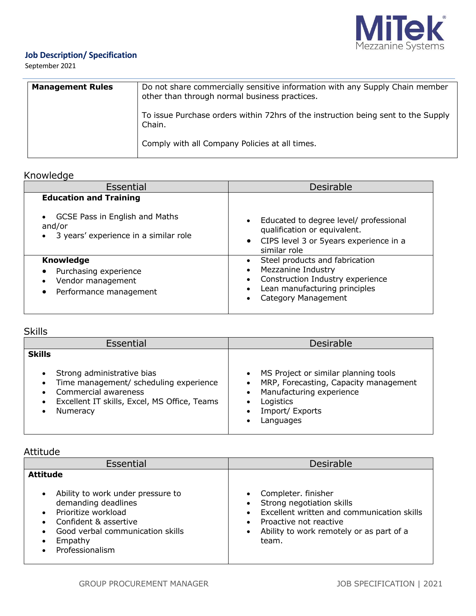

## **Job Description/ Specification**

September 2021

| <b>Management Rules</b> | Do not share commercially sensitive information with any Supply Chain member<br>other than through normal business practices. |
|-------------------------|-------------------------------------------------------------------------------------------------------------------------------|
|                         | To issue Purchase orders within 72hrs of the instruction being sent to the Supply<br>Chain.                                   |
|                         | Comply with all Company Policies at all times.                                                                                |

# Knowledge

| Essential                                                                                                          | <b>Desirable</b>                                                                                                                                                        |  |
|--------------------------------------------------------------------------------------------------------------------|-------------------------------------------------------------------------------------------------------------------------------------------------------------------------|--|
| <b>Education and Training</b><br>GCSE Pass in English and Maths<br>and/or<br>3 years' experience in a similar role | Educated to degree level/ professional<br>$\bullet$<br>qualification or equivalent.<br>CIPS level 3 or 5years experience in a<br>$\bullet$                              |  |
| <b>Knowledge</b><br>Purchasing experience<br>Vendor management<br>Performance management                           | similar role<br>Steel products and fabrication<br>Mezzanine Industry<br>Construction Industry experience<br>Lean manufacturing principles<br><b>Category Management</b> |  |

# Skills

| <b>Desirable</b>                                                                                                                                                                                                                                                                                                                                                           | Essential |  |
|----------------------------------------------------------------------------------------------------------------------------------------------------------------------------------------------------------------------------------------------------------------------------------------------------------------------------------------------------------------------------|-----------|--|
| <b>Skills</b><br>Strong administrative bias<br>MS Project or similar planning tools<br>Time management/ scheduling experience<br>MRP, Forecasting, Capacity management<br>$\bullet$<br>Manufacturing experience<br>Commercial awareness<br>Excellent IT skills, Excel, MS Office, Teams<br>Logistics<br>$\bullet$<br>Import/ Exports<br>Numeracy<br>$\bullet$<br>Languages |           |  |

## Attitude

| Essential                                                                                                                                                                  | <b>Desirable</b>                                                                                                                                                                                                                  |  |  |
|----------------------------------------------------------------------------------------------------------------------------------------------------------------------------|-----------------------------------------------------------------------------------------------------------------------------------------------------------------------------------------------------------------------------------|--|--|
| <b>Attitude</b><br>Ability to work under pressure to<br>demanding deadlines<br>Prioritize workload<br>Confident & assertive<br>Good verbal communication skills<br>Empathy | Completer. finisher<br>$\bullet$<br>Strong negotiation skills<br>Excellent written and communication skills<br>$\bullet$<br>Proactive not reactive<br>$\bullet$<br>Ability to work remotely or as part of a<br>$\bullet$<br>team. |  |  |
| Professionalism                                                                                                                                                            |                                                                                                                                                                                                                                   |  |  |